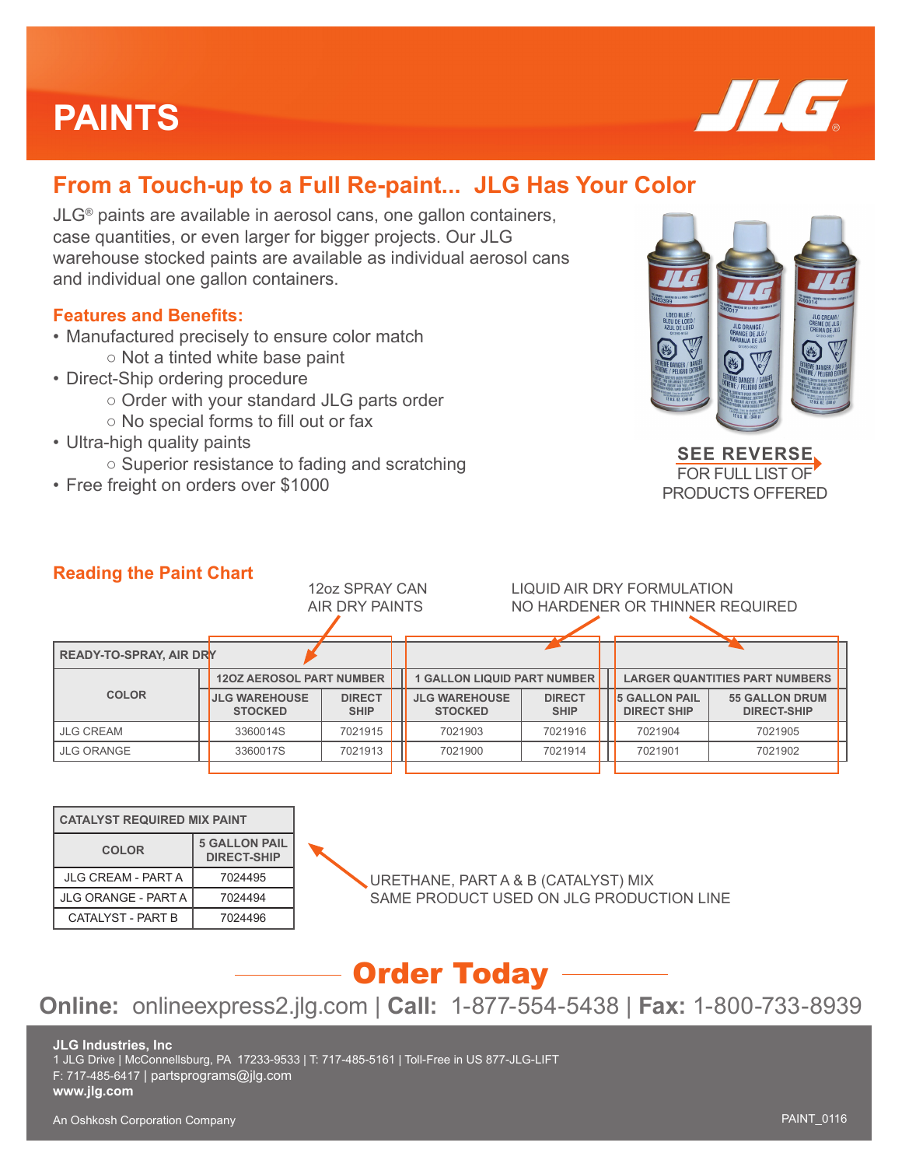# **PAINTS**



## **From a Touch-up to a Full Re-paint... JLG Has Your Color**

JLG® paints are available in aerosol cans, one gallon containers, case quantities, or even larger for bigger projects. Our JLG warehouse stocked paints are available as individual aerosol cans and individual one gallon containers.

### **Features and Benefits:**

- Manufactured precisely to ensure color match ○ Not a tinted white base paint
- Direct-Ship ordering procedure
	- Order with your standard JLG parts order
	- No special forms to fill out or fax
- Ultra-high quality paints
	- Superior resistance to fading and scratching
- Free freight on orders over \$1000



**SEE REVERSE** FOR FULL LIST OF PRODUCTS OFFERED

### **Reading the Paint Chart**

|                                | 12oz SPRAY CAN<br>AIR DRY PAINTS       |                              |  | LIQUID AIR DRY FORMULATION<br>NO HARDENER OR THINNER REQUIRED |                              |  |                                            |                                             |  |
|--------------------------------|----------------------------------------|------------------------------|--|---------------------------------------------------------------|------------------------------|--|--------------------------------------------|---------------------------------------------|--|
|                                |                                        |                              |  |                                                               |                              |  |                                            |                                             |  |
| <b>READY-TO-SPRAY, AIR DRY</b> |                                        |                              |  |                                                               |                              |  |                                            |                                             |  |
|                                | <b>120Z AEROSOL PART NUMBER</b>        |                              |  | <b>1 GALLON LIQUID PART NUMBER</b>                            |                              |  | <b>LARGER QUANTITIES PART NUMBERS</b>      |                                             |  |
| <b>COLOR</b>                   | <b>JLG WAREHOUSE</b><br><b>STOCKED</b> | <b>DIRECT</b><br><b>SHIP</b> |  | <b>JLG WAREHOUSE</b><br><b>STOCKED</b>                        | <b>DIRECT</b><br><b>SHIP</b> |  | <b>5 GALLON PAIL</b><br><b>DIRECT SHIP</b> | <b>55 GALLON DRUM</b><br><b>DIRECT-SHIP</b> |  |
| <b>JLG CREAM</b>               | 3360014S                               | 7021915                      |  | 7021903                                                       | 7021916                      |  | 7021904                                    | 7021905                                     |  |
| <b>JLG ORANGE</b>              | 3360017S                               | 7021913                      |  | 7021900                                                       | 7021914                      |  | 7021901                                    | 7021902                                     |  |
|                                |                                        |                              |  |                                                               |                              |  |                                            |                                             |  |

| <b>CATALYST REQUIRED MIX PAINT</b> |                                            |  |  |  |
|------------------------------------|--------------------------------------------|--|--|--|
| <b>COLOR</b>                       | <b>5 GALLON PAIL</b><br><b>DIRECT-SHIP</b> |  |  |  |
| <b>JLG CREAM - PART A</b>          | 7024495                                    |  |  |  |
| <b>JLG ORANGE - PART A</b>         | 7024494                                    |  |  |  |
| <b>CATALYST - PART B</b>           | 7024496                                    |  |  |  |

URETHANE, PART A & B (CATALYST) MIX SAME PRODUCT USED ON JLG PRODUCTION LINE

## Order Today

## **Online:** onlineexpress2.jlg.com | **Call:** 1-877-554-5438 | **Fax:** 1-800-733-8939

#### **JLG Industries, Inc**

1 JLG Drive | McConnellsburg, PA 17233-9533 | T: 717-485-5161 | Toll-Free in US 877-JLG-LIFT

F: 717-485-6417 | partsprograms@jlg.com

#### **www.jlg.com**